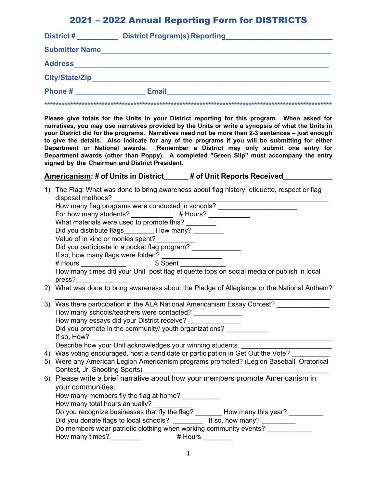# 2021 – 2022 Annual Reporting Form for DISTRICTS

| District#             | <b>District Program(s) Reporting</b> |
|-----------------------|--------------------------------------|
| <b>Submitter Name</b> |                                      |
| <b>Address</b>        |                                      |
| City/State/Zip        |                                      |
| Phone#                | <b>Email</b>                         |
|                       |                                      |

**Please give totals for the Units in your District reporting for this program. When asked for narratives, you may use narratives provided by the Units or write a synopsis of what the Units in your District did for the programs. Narratives need not be more than 2-3 sentences – just enough to give the details. Also indicate for any of the programs if you will be submitting for either Department or National awards. Remember a District may only submit one entry for Department awards (other than Poppy). A completed "Green Slip" must accompany the entry signed by the Chairman and District President.** 

#### **Americanism: # of Units in District\_\_\_\_\_\_ # of Unit Reports Received\_\_\_\_\_\_\_\_\_\_\_\_**

| 1) | The Flag: What was done to bring awareness about flag history, etiquette, respect or flag                                                                                                                                           |
|----|-------------------------------------------------------------------------------------------------------------------------------------------------------------------------------------------------------------------------------------|
|    | disposal methods?                                                                                                                                                                                                                   |
|    | How many flag programs were conducted in schools?                                                                                                                                                                                   |
|    | For how many students? ____________ # Hours? __________                                                                                                                                                                             |
|    | What materials were used to promote this? ________                                                                                                                                                                                  |
|    | Did you distribute flags__________ How many? _________                                                                                                                                                                              |
|    | Value of in kind or monies spent? __________                                                                                                                                                                                        |
|    | Did you participate in a pocket flag program? ______________                                                                                                                                                                        |
|    | If so, how many flags were folded? ________________                                                                                                                                                                                 |
|    |                                                                                                                                                                                                                                     |
|    |                                                                                                                                                                                                                                     |
|    | press?________________                                                                                                                                                                                                              |
|    | 2) What was done to bring awareness about the Pledge of Allegiance or the National Anthem?                                                                                                                                          |
|    | 3) Was there participation in the ALA National Americanism Essay Contest?                                                                                                                                                           |
|    | How many schools/teachers were contacted? ______________                                                                                                                                                                            |
|    | How many essays did your District receive? _______________                                                                                                                                                                          |
|    | Did you promote in the community/ youth organizations?                                                                                                                                                                              |
|    |                                                                                                                                                                                                                                     |
|    |                                                                                                                                                                                                                                     |
|    | 4) Was voting encouraged, host a candidate or participation in Get Out the Vote?                                                                                                                                                    |
|    | 5) Were any American Legion Americanism programs promoted? (Legion Baseball, Oratorical                                                                                                                                             |
|    | Contest, Jr. Shooting Sports) <b>Example 2</b> and the context of the context of the context of the context of the context of the context of the context of the context of the context of the context of the context of the context |
|    | 6) Please write a brief narrative about how your members promote Americanism in                                                                                                                                                     |
|    | your communities.                                                                                                                                                                                                                   |
|    | How many members fly the flag at home?                                                                                                                                                                                              |
|    | How many total hours annually?                                                                                                                                                                                                      |
|    | Do you recognize businesses that fly the flag? _______ How many this year? ______                                                                                                                                                   |
|    | Did you donate flags to local schools? __________ If so, how many? _________                                                                                                                                                        |
|    | Do members wear patriotic clothing when working community events?                                                                                                                                                                   |
|    |                                                                                                                                                                                                                                     |
|    |                                                                                                                                                                                                                                     |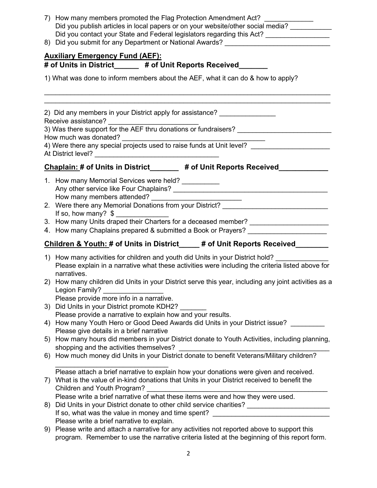|    | 7) How many members promoted the Flag Protection Amendment Act?<br>Did you publish articles in local papers or on your website/other social media?<br>Did you contact your State and Federal legislators regarding this Act? _______________<br>8) Did you submit for any Department or National Awards? _______________________ |  |  |  |  |
|----|----------------------------------------------------------------------------------------------------------------------------------------------------------------------------------------------------------------------------------------------------------------------------------------------------------------------------------|--|--|--|--|
|    | <b>Auxiliary Emergency Fund (AEF):</b><br># of Units in District______ # of Unit Reports Received______<br>1) What was done to inform members about the AEF, what it can do & how to apply?                                                                                                                                      |  |  |  |  |
|    |                                                                                                                                                                                                                                                                                                                                  |  |  |  |  |
|    | 2) Did any members in your District apply for assistance? _______________                                                                                                                                                                                                                                                        |  |  |  |  |
|    | How much was donated?                                                                                                                                                                                                                                                                                                            |  |  |  |  |
|    | 4) Were there any special projects used to raise funds at Unit level?<br>At District level?<br><u> 1980 - Jan Barat, martin a</u>                                                                                                                                                                                                |  |  |  |  |
|    | Chaplain: # of Units in District_______ # of Unit Reports Received_____                                                                                                                                                                                                                                                          |  |  |  |  |
|    | 1. How many Memorial Services were held? __________                                                                                                                                                                                                                                                                              |  |  |  |  |
|    | 2. Were there any Memorial Donations from your District? _______________________<br>If so, how many? $$$                                                                                                                                                                                                                         |  |  |  |  |
|    | 3. How many Units draped their Charters for a deceased member? _________________<br>4. How many Chaplains prepared & submitted a Book or Prayers? __________________                                                                                                                                                             |  |  |  |  |
|    | Children & Youth: # of Units in District____ # of Unit Reports Received_______                                                                                                                                                                                                                                                   |  |  |  |  |
|    | 1) How many activities for children and youth did Units in your District hold?<br>Please explain in a narrative what these activities were including the criteria listed above for<br>narratives.                                                                                                                                |  |  |  |  |
|    | 2) How many children did Units in your District serve this year, including any joint activities as a<br>Legion Family?                                                                                                                                                                                                           |  |  |  |  |
|    | Please provide more info in a narrative.<br>3) Did Units in your District promote KDH2?                                                                                                                                                                                                                                          |  |  |  |  |
| 4) | Please provide a narrative to explain how and your results.<br>How many Youth Hero or Good Deed Awards did Units in your District issue?<br>Please give details in a brief narrative                                                                                                                                             |  |  |  |  |
|    | 5) How many hours did members in your District donate to Youth Activities, including planning,<br>shopping and the activities themselves?                                                                                                                                                                                        |  |  |  |  |
|    | 6) How much money did Units in your District donate to benefit Veterans/Military children?                                                                                                                                                                                                                                       |  |  |  |  |
| 7) | Please attach a brief narrative to explain how your donations were given and received.<br>What is the value of in-kind donations that Units in your District received to benefit the<br>Children and Youth Program?                                                                                                              |  |  |  |  |
| 8) | Please write a brief narrative of what these items were and how they were used.<br>Did Units in your District donate to other child service charities? _____________                                                                                                                                                             |  |  |  |  |
| 9) | If so, what was the value in money and time spent? _____________________________<br>Please write a brief narrative to explain.<br>Please write and attach a narrative for any activities not reported above to support this<br>program. Remember to use the narrative criteria listed at the beginning of this report form.      |  |  |  |  |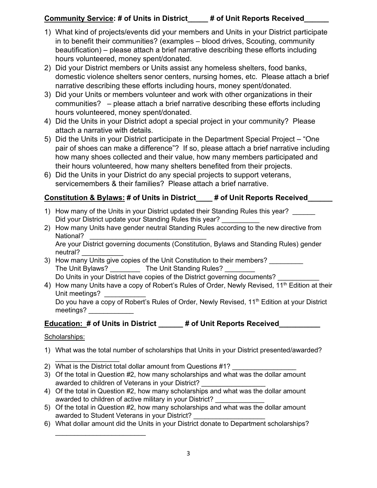# **Community Service: # of Units in District\_\_\_\_\_ # of Unit Reports Received\_\_\_\_\_\_**

- 1) What kind of projects/events did your members and Units in your District participate in to benefit their communities? (examples – blood drives, Scouting, community beautification) – please attach a brief narrative describing these efforts including hours volunteered, money spent/donated.
- 2) Did your District members or Units assist any homeless shelters, food banks, domestic violence shelters senor centers, nursing homes, etc. Please attach a brief narrative describing these efforts including hours, money spent/donated.
- 3) Did your Units or members volunteer and work with other organizations in their communities? – please attach a brief narrative describing these efforts including hours volunteered, money spent/donated.
- 4) Did the Units in your District adopt a special project in your community? Please attach a narrative with details.
- 5) Did the Units in your District participate in the Department Special Project "One pair of shoes can make a difference"? If so, please attach a brief narrative including how many shoes collected and their value, how many members participated and their hours volunteered, how many shelters benefited from their projects.
- 6) Did the Units in your District do any special projects to support veterans, servicemembers & their families? Please attach a brief narrative.

# **Constitution & Bylaws: # of Units in District\_\_\_\_ # of Unit Reports Received\_\_\_\_\_\_**

- 1) How many of the Units in your District updated their Standing Rules this year? Did your District update your Standing Rules this year?
- 2) How many Units have gender neutral Standing Rules according to the new directive from National? \_\_\_\_\_\_\_\_\_\_\_\_\_\_\_\_\_\_\_\_\_\_\_\_\_\_\_\_\_\_\_

Are your District governing documents (Constitution, Bylaws and Standing Rules) gender neutral?

- 3) How many Units give copies of the Unit Constitution to their members? The Unit Bylaws? \_\_\_\_\_\_\_\_\_\_ The Unit Standing Rules? Do Units in your District have copies of the District governing documents?
- 4) How many Units have a copy of Robert's Rules of Order, Newly Revised, 11<sup>th</sup> Edition at their Unit meetings? Do you have a copy of Robert's Rules of Order, Newly Revised, 11<sup>th</sup> Edition at your District meetings? \_\_\_\_\_\_\_\_\_\_\_\_

# **Education: # of Units in District \_\_\_\_\_\_ # of Unit Reports Received\_\_\_\_\_\_\_\_\_\_**

### Scholarships:

- 1) What was the total number of scholarships that Units in your District presented/awarded?
- $\overline{\phantom{a}}$  , where  $\overline{\phantom{a}}$ 2) What is the District total dollar amount from Questions #1?

 $\mathcal{L}_\text{max}$  , which is a set of the set of the set of the set of the set of the set of the set of the set of the set of the set of the set of the set of the set of the set of the set of the set of the set of the set of

- 3) Of the total in Question #2, how many scholarships and what was the dollar amount awarded to children of Veterans in your District?
- 4) Of the total in Question #2, how many scholarships and what was the dollar amount awarded to children of active military in your District?
- 5) Of the total in Question #2, how many scholarships and what was the dollar amount awarded to Student Veterans in your District?
- 6) What dollar amount did the Units in your District donate to Department scholarships?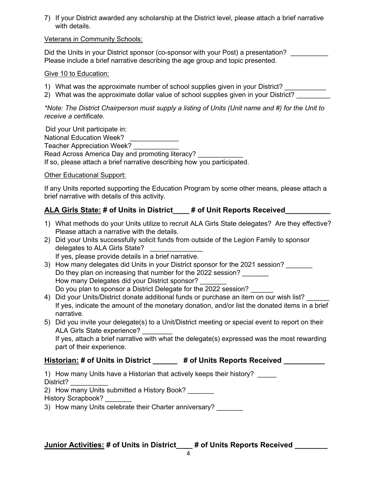7) If your District awarded any scholarship at the District level, please attach a brief narrative with details.

#### Veterans in Community Schools:

Did the Units in your District sponsor (co-sponsor with your Post) a presentation? Please include a brief narrative describing the age group and topic presented.

#### Give 10 to Education:

- 1) What was the approximate number of school supplies given in your District? \_\_\_\_\_\_\_\_\_\_
- 2) What was the approximate dollar value of school supplies given in your District?

*\*Note: The District Chairperson must supply a listing of Units (Unit name and #) for the Unit to receive a certificate*.

 Did your Unit participate in: National Education Week? Teacher Appreciation Week? Read Across America Day and promoting literacy? If so, please attach a brief narrative describing how you participated.

Other Educational Support:

If any Units reported supporting the Education Program by some other means, please attach a brief narrative with details of this activity.

### **ALA Girls State: # of Units in District\_\_\_\_ # of Unit Reports Received\_\_\_\_\_\_\_\_\_\_\_**

- 1) What methods do your Units utilize to recruit ALA Girls State delegates? Are they effective? Please attach a narrative with the details.
- 2) Did your Units successfully solicit funds from outside of the Legion Family to sponsor delegates to ALA Girls State?
	- If yes, please provide details in a brief narrative.
- 3) How many delegates did Units in your District sponsor for the 2021 session? Do they plan on increasing that number for the 2022 session? How many Delegates did your District sponsor? Do you plan to sponsor a District Delegate for the 2022 session?
- 4) Did your Units/District donate additional funds or purchase an item on our wish list? If yes, indicate the amount of the monetary donation, and/or list the donated items in a brief narrative.
- 5) Did you invite your delegate(s) to a Unit/District meeting or special event to report on their ALA Girls State experience?

If yes, attach a brief narrative with what the delegate(s) expressed was the most rewarding part of their experience.

### **Historian: # of Units in District \_\_\_\_\_\_ # of Units Reports Received \_\_\_\_\_\_\_\_\_\_**

1) How many Units have a Historian that actively keeps their history? District? \_\_\_\_\_\_\_\_\_\_

2) How many Units submitted a History Book?

History Scrapbook?

3) How many Units celebrate their Charter anniversary?

### **Junior Activities: # of Units in District\_\_\_\_ # of Units Reports Received \_\_\_\_\_\_\_\_**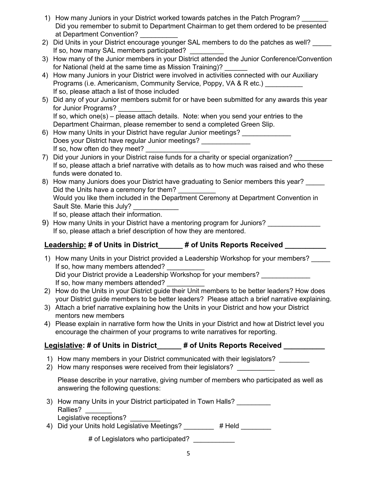- 1) How many Juniors in your District worked towards patches in the Patch Program? Did you remember to submit to Department Chairman to get them ordered to be presented at Department Convention?
- 2) Did Units in your District encourage younger SAL members to do the patches as well? If so, how many SAL members participated?
- 3) How many of the Junior members in your District attended the Junior Conference/Convention for National (held at the same time as Mission Training)?
- 4) How many Juniors in your District were involved in activities connected with our Auxiliary Programs (i.e. Americanism, Community Service, Poppy, VA & R etc.) If so, please attach a list of those included
- 5) Did any of your Junior members submit for or have been submitted for any awards this year for Junior Programs? If so, which one(s) – please attach details. Note: when you send your entries to the Department Chairman, please remember to send a completed Green Slip.
- 6) How many Units in your District have regular Junior meetings? Does your District have regular Junior meetings? If so, how often do they meet?
- 7) Did your Juniors in your District raise funds for a charity or special organization? If so, please attach a brief narrative with details as to how much was raised and who these funds were donated to.
- 8) How many Juniors does your District have graduating to Senior members this year? Did the Units have a ceremony for them? Would you like them included in the Department Ceremony at Department Convention in Sault Ste. Marie this July? If so, please attach their information.
- 9) How many Units in your District have a mentoring program for Juniors? If so, please attach a brief description of how they are mentored.

# **Leadership: # of Units in District\_\_\_\_\_\_ # of Units Reports Received \_\_\_\_\_\_\_\_\_\_**

- 1) How many Units in your District provided a Leadership Workshop for your members? If so, how many members attended? Did your District provide a Leadership Workshop for your members? If so, how many members attended?
- 2) How do the Units in your District guide their Unit members to be better leaders? How does your District guide members to be better leaders? Please attach a brief narrative explaining.
- 3) Attach a brief narrative explaining how the Units in your District and how your District mentors new members
- 4) Please explain in narrative form how the Units in your District and how at District level you encourage the chairmen of your programs to write narratives for reporting.

# **Legislative: # of Units in District\_\_\_\_\_\_ # of Units Reports Received \_\_\_\_\_\_\_\_\_\_**

- 1) How many members in your District communicated with their legislators?
- 2) How many responses were received from their legislators?

Please describe in your narrative, giving number of members who participated as well as answering the following questions:

- 3) How many Units in your District participated in Town Halls? Rallies? Legislative receptions?
- 4) Did your Units hold Legislative Meetings? # Held
	- # of Legislators who participated?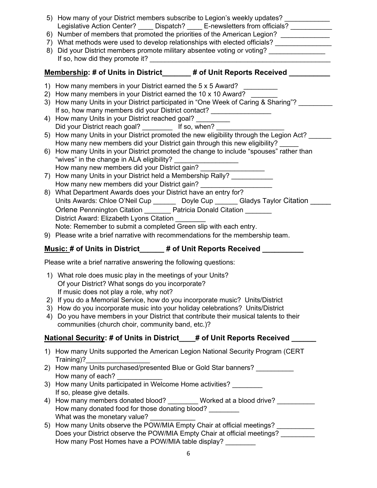|    | 5) How many of your District members subscribe to Legion's weekly updates?<br>Legislative Action Center? _____ Dispatch? _____ E-newsletters from officials? ________<br>6) Number of members that promoted the priorities of the American Legion? ___________<br>7) What methods were used to develop relationships with elected officials? ____________<br>8) Did your District members promote military absentee voting or voting?                                                                                                                                                                                                                                                                                                                                                                                                                                                                                                                                                                                                                                                                                                                                                                                                                                                                                                                                                 |  |  |  |  |
|----|---------------------------------------------------------------------------------------------------------------------------------------------------------------------------------------------------------------------------------------------------------------------------------------------------------------------------------------------------------------------------------------------------------------------------------------------------------------------------------------------------------------------------------------------------------------------------------------------------------------------------------------------------------------------------------------------------------------------------------------------------------------------------------------------------------------------------------------------------------------------------------------------------------------------------------------------------------------------------------------------------------------------------------------------------------------------------------------------------------------------------------------------------------------------------------------------------------------------------------------------------------------------------------------------------------------------------------------------------------------------------------------|--|--|--|--|
|    | Membership: # of Units in District_____# of Unit Reports Received ___                                                                                                                                                                                                                                                                                                                                                                                                                                                                                                                                                                                                                                                                                                                                                                                                                                                                                                                                                                                                                                                                                                                                                                                                                                                                                                                 |  |  |  |  |
|    | 1) How many members in your District earned the 5 x 5 Award?<br>2) How many members in your District earned the 10 x 10 Award?<br>3) How many Units in your District participated in "One Week of Caring & Sharing"?<br>If so, how many members did your District contact? __________________<br>4) How many Units in your District reached goal? _________<br>Did your District reach goal? __________ If so, when? _<br>5) How many Units in your District promoted the new eligibility through the Legion Act?<br>How many new members did your District gain through this new eligibility?<br>6) How many Units in your District promoted the change to include "spouses" rather than<br>"wives" in the change in ALA eligibility? ______________________<br>How many new members did your District gain?<br>7) How many Units in your District held a Membership Rally? __________<br>How many new members did your District gain?<br>8) What Department Awards does your District have an entry for?<br>Units Awards: Chloe O'Neil Cup _______ Doyle Cup ______ Gladys Taylor Citation _<br>Orlene Pennnington Citation _________ Patricia Donald Citation ________<br>District Award: Elizabeth Lyons Citation ________<br>Note: Remember to submit a completed Green slip with each entry.<br>9) Please write a brief narrative with recommendations for the membership team. |  |  |  |  |
|    | Music: # of Units in District______ # of Unit Reports Received _________                                                                                                                                                                                                                                                                                                                                                                                                                                                                                                                                                                                                                                                                                                                                                                                                                                                                                                                                                                                                                                                                                                                                                                                                                                                                                                              |  |  |  |  |
|    | Please write a brief narrative answering the following questions:                                                                                                                                                                                                                                                                                                                                                                                                                                                                                                                                                                                                                                                                                                                                                                                                                                                                                                                                                                                                                                                                                                                                                                                                                                                                                                                     |  |  |  |  |
| 4) | 1) What role does music play in the meetings of your Units?<br>Of your District? What songs do you incorporate?<br>If music does not play a role, why not?<br>2) If you do a Memorial Service, how do you incorporate music? Units/District<br>3) How do you incorporate music into your holiday celebrations? Units/District<br>Do you have members in your District that contribute their musical talents to their<br>communities (church choir, community band, etc.)?                                                                                                                                                                                                                                                                                                                                                                                                                                                                                                                                                                                                                                                                                                                                                                                                                                                                                                             |  |  |  |  |
|    | National Security: # of Units in District___# of Unit Reports Received ___                                                                                                                                                                                                                                                                                                                                                                                                                                                                                                                                                                                                                                                                                                                                                                                                                                                                                                                                                                                                                                                                                                                                                                                                                                                                                                            |  |  |  |  |
|    | 1) How many Units supported the American Legion National Security Program (CERT<br>Training)?<br>2) How many Units purchased/presented Blue or Gold Star banners?                                                                                                                                                                                                                                                                                                                                                                                                                                                                                                                                                                                                                                                                                                                                                                                                                                                                                                                                                                                                                                                                                                                                                                                                                     |  |  |  |  |
|    | How many of each?<br>3) How many Units participated in Welcome Home activities?<br>If so, please give details.<br>4) How many members donated blood? _________ Worked at a blood drive? __________                                                                                                                                                                                                                                                                                                                                                                                                                                                                                                                                                                                                                                                                                                                                                                                                                                                                                                                                                                                                                                                                                                                                                                                    |  |  |  |  |
|    | How many donated food for those donating blood?<br>What was the monetary value?<br>5) How many Units observe the POW/MIA Empty Chair at official meetings? ________<br>Does your District observe the POW/MIA Empty Chair at official meetings?<br>How many Post Homes have a POW/MIA table display?                                                                                                                                                                                                                                                                                                                                                                                                                                                                                                                                                                                                                                                                                                                                                                                                                                                                                                                                                                                                                                                                                  |  |  |  |  |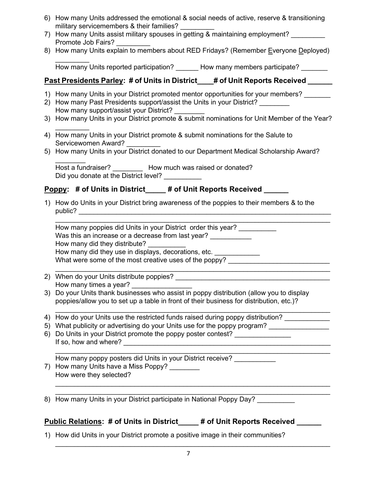- 6) How many Units addressed the emotional & social needs of active, reserve & transitioning military servicemembers & their families?
- 7) How many Units assist military spouses in getting & maintaining employment? Promote Job Fairs?
- 8) How many Units explain to members about RED Fridays? (Remember Everyone Deployed)

 $\frac{1}{2}$ How many Units reported participation? How many members participate?

# **Past Presidents Parley: # of Units in District\_\_\_# of Unit Reports Received \_\_\_\_**

- 1) How many Units in your District promoted mentor opportunities for your members?
- 2) How many Past Presidents support/assist the Units in your District? How many support/assist your District? \_\_\_\_\_\_\_\_
- 3) How many Units in your District promote & submit nominations for Unit Member of the Year?
- $\frac{1}{2}$ 4) How many Units in your District promote & submit nominations for the Salute to Servicewomen Award?
- 5) How many Units in your District donated to our Department Medical Scholarship Award?

 $\frac{1}{2}$ Host a fundraiser? \_\_\_\_\_\_\_\_ How much was raised or donated? Did you donate at the District level?

# **Poppy:** # of Units in District\_\_\_\_\_ # of Unit Reports Received

1) How do Units in your District bring awareness of the poppies to their members & to the public? The contract of the contract of the contract of the contract of the contract of the contract of the contract of the contract of the contract of the contract of the contract of the contract of the contract of the co

 $\_$  , and the set of the set of the set of the set of the set of the set of the set of the set of the set of the set of the set of the set of the set of the set of the set of the set of the set of the set of the set of th How many poppies did Units in your District order this year? Was this an increase or a decrease from last year? How many did they distribute?

How many did they use in displays, decorations, etc.

What were some of the most creative uses of the poppy? \_\_\_\_\_\_\_\_\_\_\_\_\_\_\_\_\_\_\_\_\_\_\_\_\_

- $\_$  , and the set of the set of the set of the set of the set of the set of the set of the set of the set of the set of the set of the set of the set of the set of the set of the set of the set of the set of the set of th 2) When do your Units distribute poppies? How many times a year?
- 3) Do your Units thank businesses who assist in poppy distribution (allow you to display poppies/allow you to set up a table in front of their business for distribution, etc.)?
- $\_$  , and the set of the set of the set of the set of the set of the set of the set of the set of the set of the set of the set of the set of the set of the set of the set of the set of the set of the set of the set of th 4) How do your Units use the restricted funds raised during poppy distribution?
- 5) What publicity or advertising do your Units use for the poppy program?
- 6) Do Units in your District promote the poppy poster contest? \_\_\_\_\_\_\_\_\_\_\_\_\_\_\_\_ If so, how and where?

How many poppy posters did Units in your District receive?

7) How many Units have a Miss Poppy? How were they selected?

8) How many Units in your District participate in National Poppy Day?

# **Public Relations: # of Units in District\_\_\_\_\_ # of Unit Reports Received \_\_\_\_\_\_**

1) How did Units in your District promote a positive image in their communities?

 $\_$  , and the set of the set of the set of the set of the set of the set of the set of the set of the set of the set of the set of the set of the set of the set of the set of the set of the set of the set of the set of th

\_\_\_\_\_\_\_\_\_\_\_\_\_\_\_\_\_\_\_\_\_\_\_\_\_\_\_\_\_\_\_\_\_\_\_\_\_\_\_\_\_\_\_\_\_\_\_\_\_\_\_\_\_\_\_\_\_\_\_\_\_\_\_\_\_\_\_\_\_\_\_\_\_  $\_$  , and the set of the set of the set of the set of the set of the set of the set of the set of the set of the set of the set of the set of the set of the set of the set of the set of the set of the set of the set of th